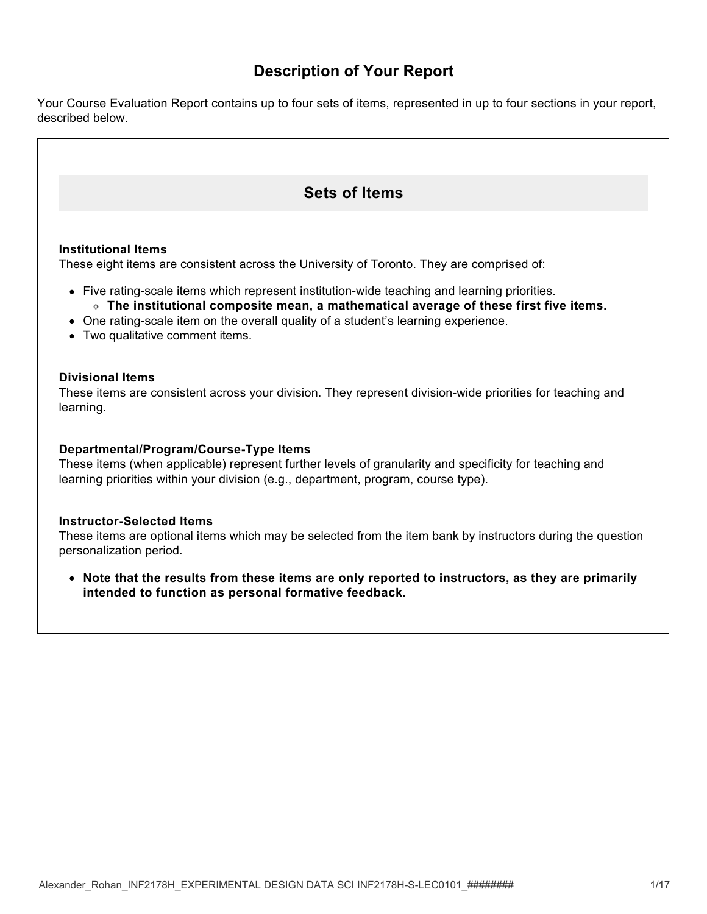# **Description of Your Report**

Your Course Evaluation Report contains up to four sets of items, represented in up to four sections in your report, described below.

# **Sets of Items**

#### **Institutional Items**

These eight items are consistent across the University of Toronto. They are comprised of:

- Five rating-scale items which represent institution-wide teaching and learning priorities. **The institutional composite mean, a mathematical average of these first five items.**
- One rating-scale item on the overall quality of a student's learning experience.
- Two qualitative comment items.

### **Divisional Items**

These items are consistent across your division. They represent division-wide priorities for teaching and learning.

#### **Departmental/Program/Course-Type Items**

These items (when applicable) represent further levels of granularity and specificity for teaching and learning priorities within your division (e.g., department, program, course type).

#### **Instructor-Selected Items**

These items are optional items which may be selected from the item bank by instructors during the question personalization period.

**Note that the results from these items are only reported to instructors, as they are primarily intended to function as personal formative feedback.**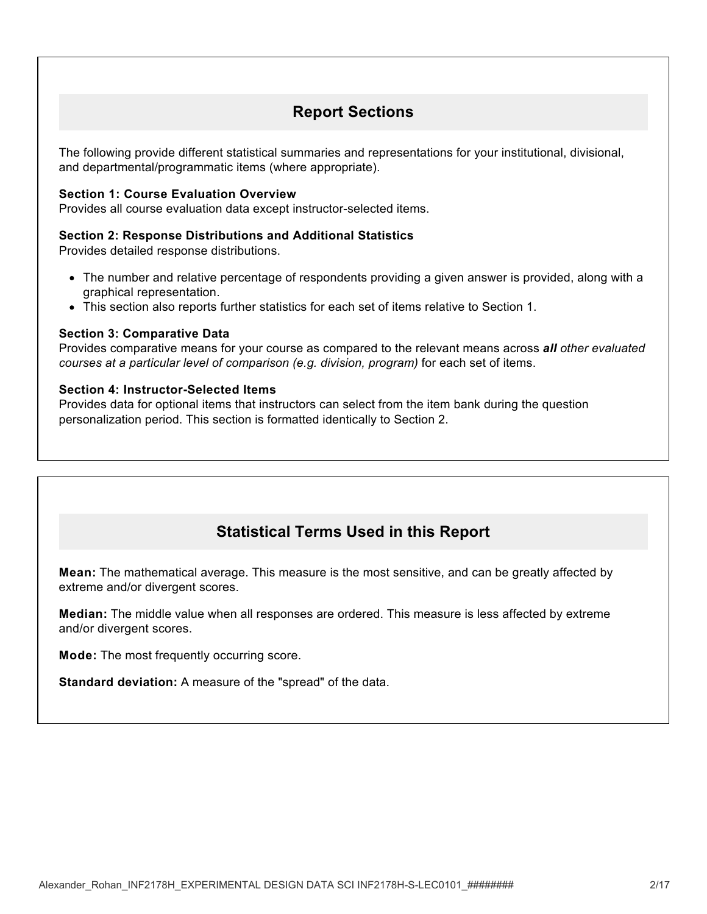# **Report Sections**

The following provide different statistical summaries and representations for your institutional, divisional, and departmental/programmatic items (where appropriate).

## **Section 1: Course Evaluation Overview**

Provides all course evaluation data except instructor-selected items.

#### **Section 2: Response Distributions and Additional Statistics**

Provides detailed response distributions.

- The number and relative percentage of respondents providing a given answer is provided, along with a graphical representation.
- This section also reports further statistics for each set of items relative to Section 1.

#### **Section 3: Comparative Data**

Provides comparative means for your course as compared to the relevant means across *all other evaluated courses at a particular level of comparison (e.g. division, program)* for each set of items.

#### **Section 4: Instructor-Selected Items**

Provides data for optional items that instructors can select from the item bank during the question personalization period. This section is formatted identically to Section 2.

# **Statistical Terms Used in this Report**

**Mean:** The mathematical average. This measure is the most sensitive, and can be greatly affected by extreme and/or divergent scores.

**Median:** The middle value when all responses are ordered. This measure is less affected by extreme and/or divergent scores.

**Mode:** The most frequently occurring score.

**Standard deviation:** A measure of the "spread" of the data.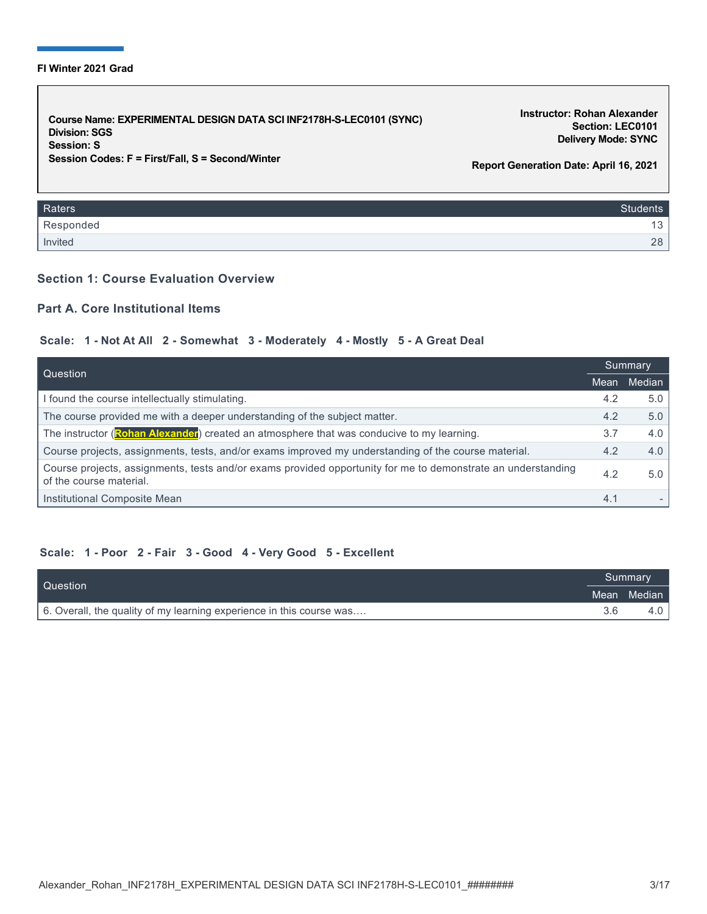#### **FI Winter 2021 Grad**

**Course Name: EXPERIMENTAL DESIGN DATA SCI INF2178H-S-LEC0101 (SYNC) Division: SGS Session: S Session Codes: F = First/Fall, S = Second/Winter**

**Instructor: Rohan Alexander Section: LEC0101 Delivery Mode: SYNC**

**Report Generation Date: April 16, 2021**

| Raters    | <b>Students</b> |
|-----------|-----------------|
| Responded | 12<br>ل -       |
| Invited   | 28              |

## **Section 1: Course Evaluation Overview**

# **Part A. Core Institutional Items**

#### **Scale: 1 - Not At All 2 - Somewhat 3 - Moderately 4 - Mostly 5 - A Great Deal**

| Question                                                                                                                                |      | Summary |  |
|-----------------------------------------------------------------------------------------------------------------------------------------|------|---------|--|
|                                                                                                                                         | Mean | Median  |  |
| I found the course intellectually stimulating.                                                                                          | 4.2  | 5.0     |  |
| The course provided me with a deeper understanding of the subject matter.                                                               | 4.2  | 5.0     |  |
| The instructor (Rohan Alexander) created an atmosphere that was conducive to my learning.                                               | 3.7  | 4.0     |  |
| Course projects, assignments, tests, and/or exams improved my understanding of the course material.                                     | 4.2  | 4.0     |  |
| Course projects, assignments, tests and/or exams provided opportunity for me to demonstrate an understanding<br>of the course material. | 4.2  | 5.0     |  |
| Institutional Composite Mean                                                                                                            | 4.1  |         |  |

#### **Scale: 1 - Poor 2 - Fair 3 - Good 4 - Very Good 5 - Excellent**

| Question                                                             |  | <b>Summary</b> |  |
|----------------------------------------------------------------------|--|----------------|--|
|                                                                      |  | Mean Median    |  |
| 6. Overall, the quality of my learning experience in this course was |  | 4.0 l          |  |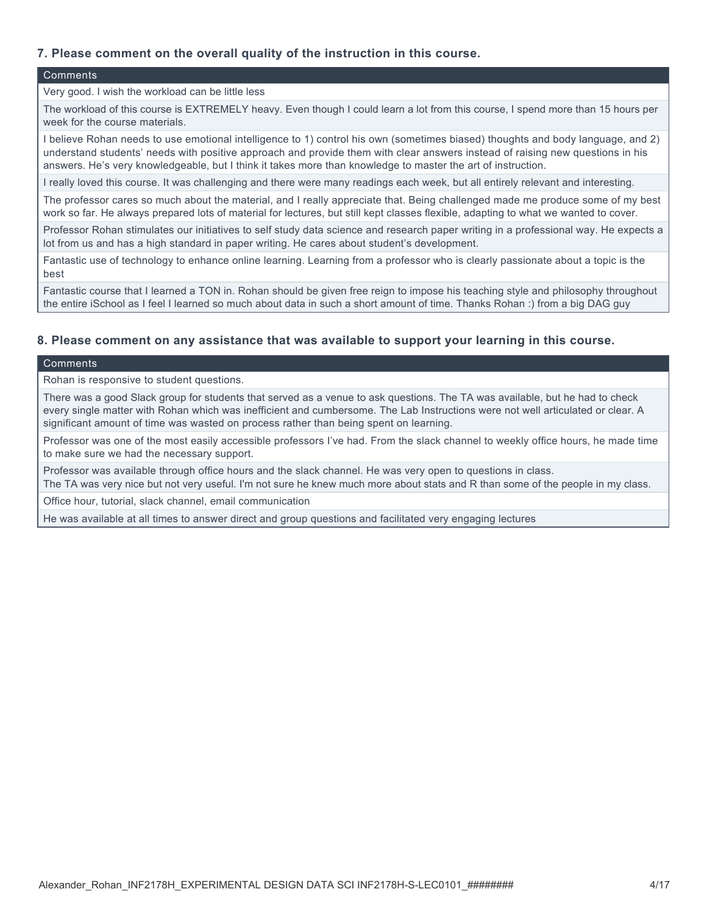# **7. Please comment on the overall quality of the instruction in this course.**

#### **Comments**

#### Very good. I wish the workload can be little less

The workload of this course is EXTREMELY heavy. Even though I could learn a lot from this course, I spend more than 15 hours per week for the course materials.

I believe Rohan needs to use emotional intelligence to 1) control his own (sometimes biased) thoughts and body language, and 2) understand students' needs with positive approach and provide them with clear answers instead of raising new questions in his answers. He's very knowledgeable, but I think it takes more than knowledge to master the art of instruction.

I really loved this course. It was challenging and there were many readings each week, but all entirely relevant and interesting.

The professor cares so much about the material, and I really appreciate that. Being challenged made me produce some of my best work so far. He always prepared lots of material for lectures, but still kept classes flexible, adapting to what we wanted to cover.

Professor Rohan stimulates our initiatives to self study data science and research paper writing in a professional way. He expects a lot from us and has a high standard in paper writing. He cares about student's development.

Fantastic use of technology to enhance online learning. Learning from a professor who is clearly passionate about a topic is the best

Fantastic course that I learned a TON in. Rohan should be given free reign to impose his teaching style and philosophy throughout the entire iSchool as I feel I learned so much about data in such a short amount of time. Thanks Rohan :) from a big DAG guy

#### **8. Please comment on any assistance that was available to support your learning in this course.**

#### **Comments**

Rohan is responsive to student questions.

There was a good Slack group for students that served as a venue to ask questions. The TA was available, but he had to check every single matter with Rohan which was inefficient and cumbersome. The Lab Instructions were not well articulated or clear. A significant amount of time was wasted on process rather than being spent on learning.

Professor was one of the most easily accessible professors I've had. From the slack channel to weekly office hours, he made time to make sure we had the necessary support.

Professor was available through office hours and the slack channel. He was very open to questions in class. The TA was very nice but not very useful. I'm not sure he knew much more about stats and R than some of the people in my class.

Office hour, tutorial, slack channel, email communication

He was available at all times to answer direct and group questions and facilitated very engaging lectures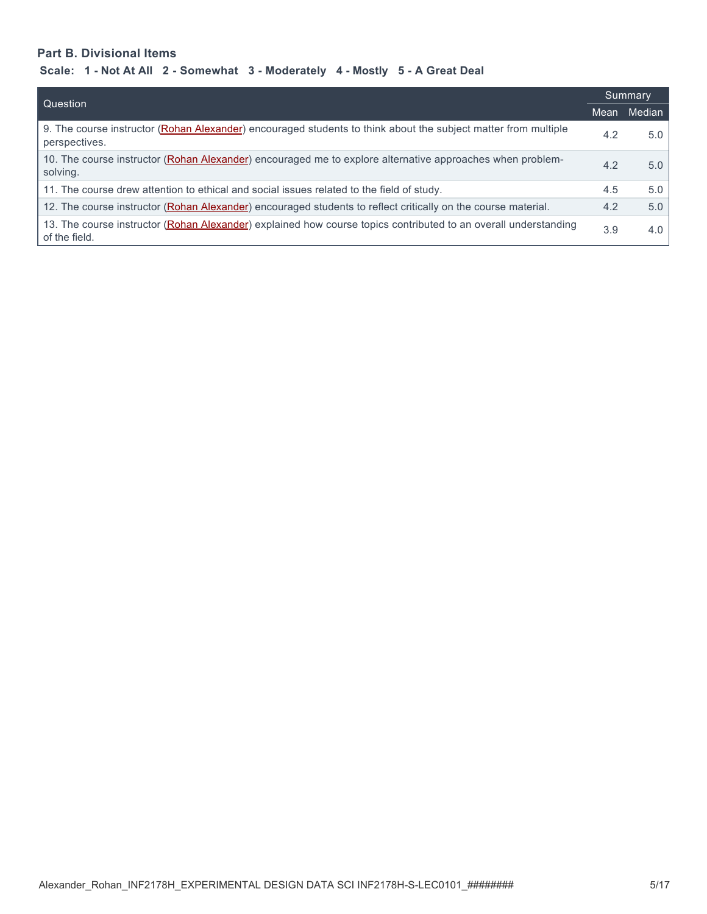# **Part B. Divisional Items**

| Question                                                                                                                         |      | Summary          |  |
|----------------------------------------------------------------------------------------------------------------------------------|------|------------------|--|
|                                                                                                                                  | Mean | Median           |  |
| 9. The course instructor (Rohan Alexander) encouraged students to think about the subject matter from multiple<br>perspectives.  | 4.2  | 5.0              |  |
| 10. The course instructor (Rohan Alexander) encouraged me to explore alternative approaches when problem-<br>solving.            | 4.2  | 5.0 <sub>1</sub> |  |
| 11. The course drew attention to ethical and social issues related to the field of study.                                        | 4.5  | 5.0              |  |
| 12. The course instructor (Rohan Alexander) encouraged students to reflect critically on the course material.                    | 4.2  | 5.0              |  |
| 13. The course instructor (Rohan Alexander) explained how course topics contributed to an overall understanding<br>of the field. | 3.9  | 4.0              |  |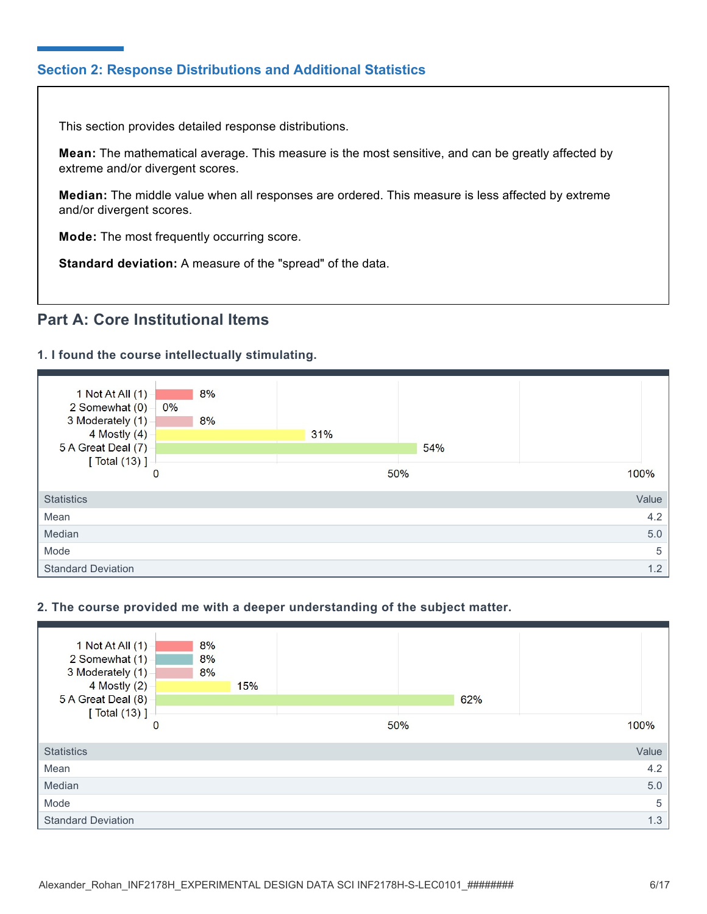# **Section 2: Response Distributions and Additional Statistics**

This section provides detailed response distributions.

**Mean:** The mathematical average. This measure is the most sensitive, and can be greatly affected by extreme and/or divergent scores.

**Median:** The middle value when all responses are ordered. This measure is less affected by extreme and/or divergent scores.

**Mode:** The most frequently occurring score.

**Standard deviation:** A measure of the "spread" of the data.

# **Part A: Core Institutional Items**

# **1. I found the course intellectually stimulating.**



## **2. The course provided me with a deeper understanding of the subject matter.**

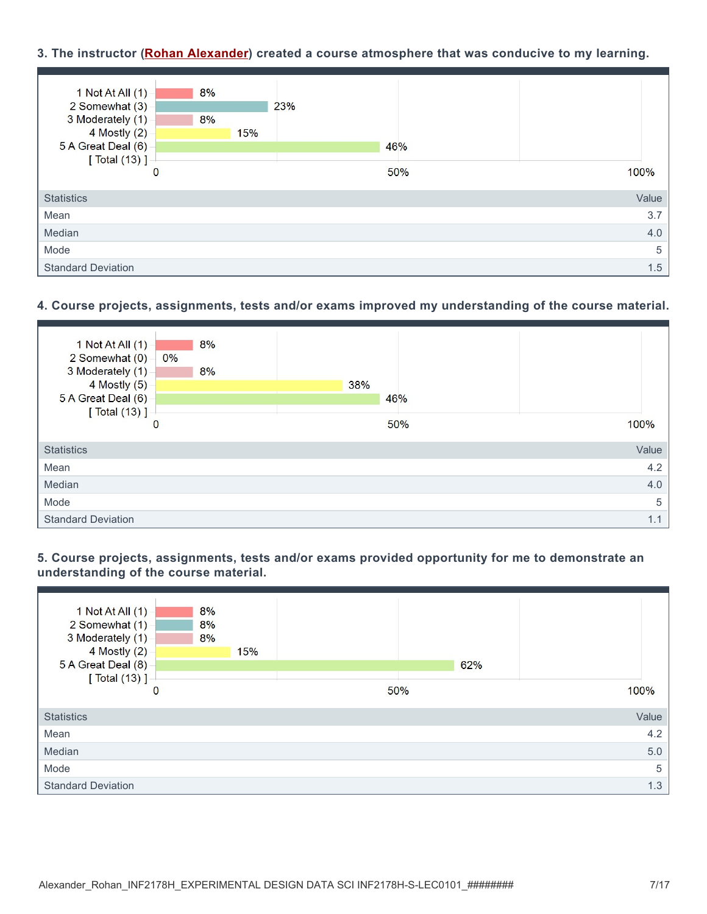# **3. The instructor (Rohan Alexander) created a course atmosphere that was conducive to my learning.**

| 1 Not At All $(1)$        | 8%          |     |     |       |
|---------------------------|-------------|-----|-----|-------|
| 2 Somewhat (3)            |             |     | 23% |       |
| 3 Moderately (1)          | 8%          |     |     |       |
| 4 Mostly (2)              |             | 15% |     |       |
| 5 A Great Deal (6)        |             |     | 46% |       |
| [ Total (13) ]            |             |     |     |       |
|                           | $\mathbf 0$ |     | 50% | 100%  |
|                           |             |     |     |       |
| <b>Statistics</b>         |             |     |     | Value |
| Mean                      |             |     |     | 3.7   |
| Median                    |             |     |     | 4.0   |
| Mode                      |             |     |     | 5     |
| <b>Standard Deviation</b> |             |     |     | 1.5   |

# **4. Course projects, assignments, tests and/or exams improved my understanding of the course material.**



**5. Course projects, assignments, tests and/or exams provided opportunity for me to demonstrate an understanding of the course material.**

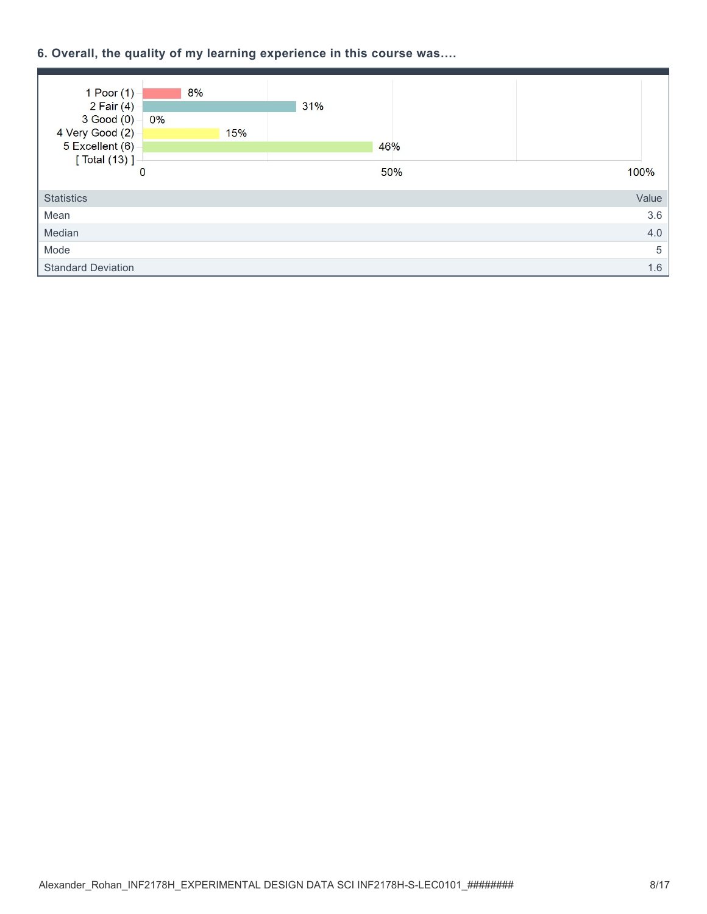# **6. Overall, the quality of my learning experience in this course was….**

| $1$ Poor $(1)$            | 8%       |     |     |     |       |
|---------------------------|----------|-----|-----|-----|-------|
| $2$ Fair $(4)$            |          |     | 31% |     |       |
| $3$ Good $(0)$            | 0%       |     |     |     |       |
| 4 Very Good (2)           |          | 15% |     |     |       |
| 5 Excellent (6)           |          |     |     | 46% |       |
| [ Total (13) ]            |          |     |     |     |       |
|                           | $\bf{0}$ |     |     | 50% | 100%  |
|                           |          |     |     |     |       |
| <b>Statistics</b>         |          |     |     |     | Value |
| Mean                      |          |     |     |     | 3.6   |
| Median                    |          |     |     |     | 4.0   |
| Mode                      |          |     |     |     | 5     |
| <b>Standard Deviation</b> |          |     |     |     | 1.6   |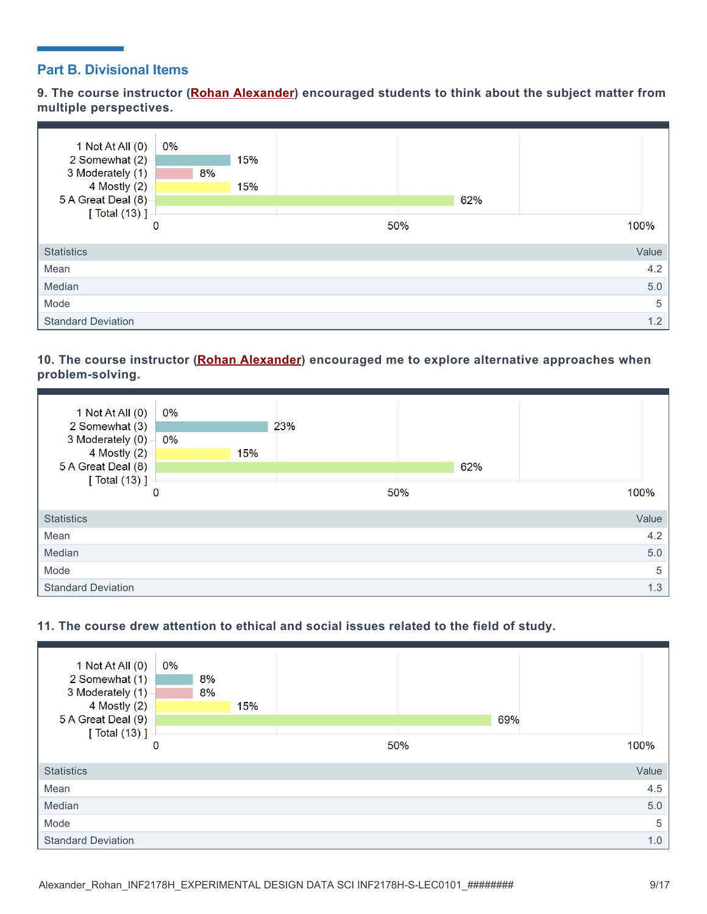# **Part B. Divisional Items**

**9. The course instructor (Rohan Alexander) encouraged students to think about the subject matter from multiple perspectives.**



# **10. The course instructor (Rohan Alexander) encouraged me to explore alternative approaches when problem-solving.**





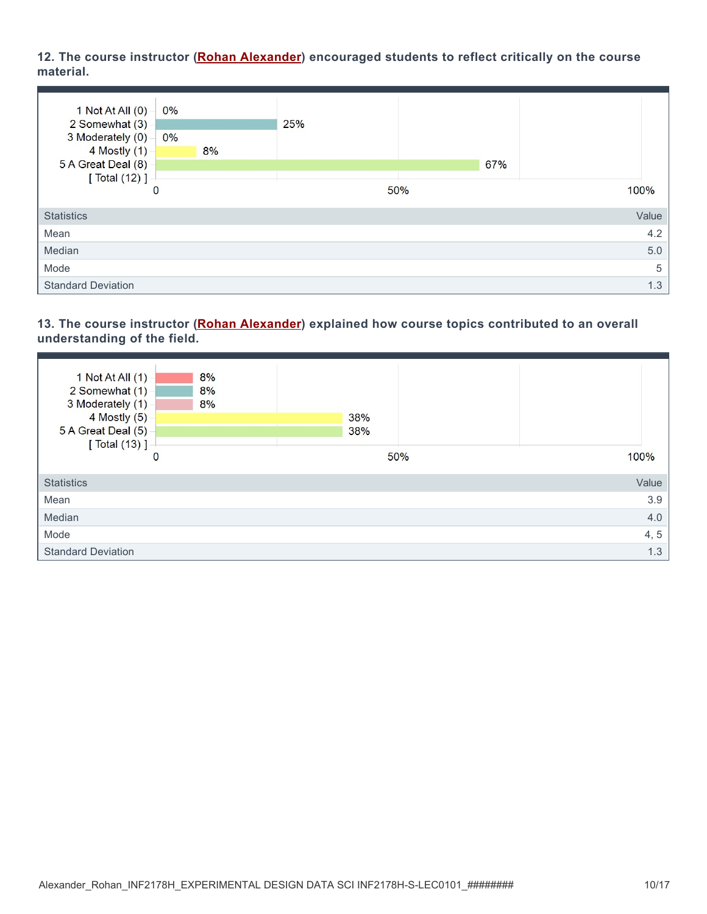# **12. The course instructor (Rohan Alexander) encouraged students to reflect critically on the course material.**



## **13. The course instructor (Rohan Alexander) explained how course topics contributed to an overall understanding of the field.**

| 8%<br>1 Not At All $(1)$<br>2 Somewhat (1)<br>8%<br>3 Moderately (1)<br>8%<br>4 Mostly (5)<br>5 A Great Deal (5)<br>[ Total (13) ] | 38%<br>38% |       |
|------------------------------------------------------------------------------------------------------------------------------------|------------|-------|
| 0                                                                                                                                  | 50%        | 100%  |
| <b>Statistics</b>                                                                                                                  |            | Value |
| Mean                                                                                                                               |            | 3.9   |
| Median                                                                                                                             |            | 4.0   |
| Mode                                                                                                                               |            | 4, 5  |
| <b>Standard Deviation</b>                                                                                                          |            | 1.3   |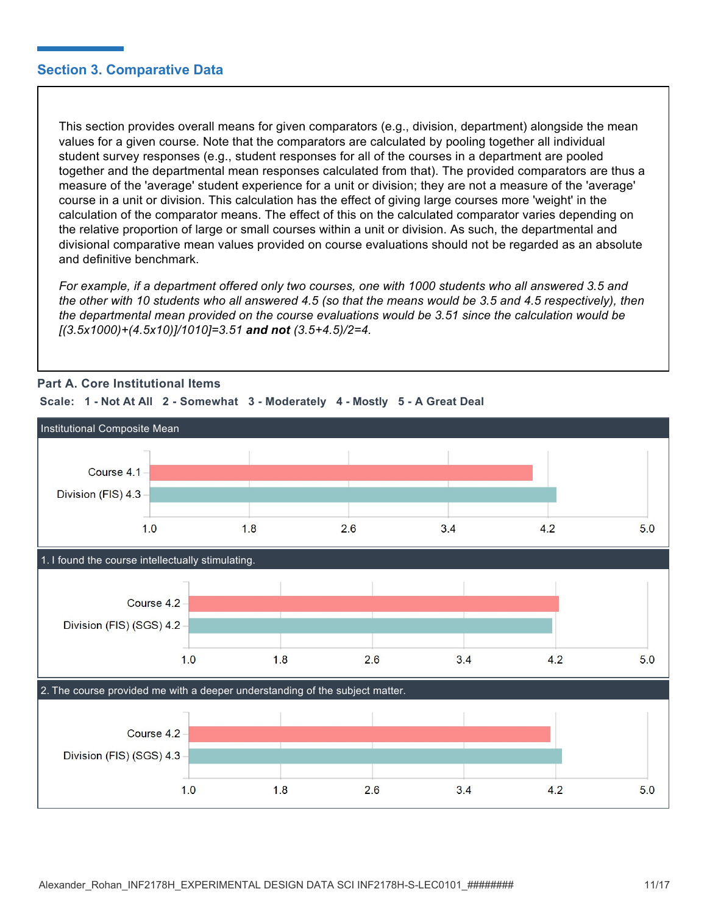# **Section 3. Comparative Data**

This section provides overall means for given comparators (e.g., division, department) alongside the mean values for a given course. Note that the comparators are calculated by pooling together all individual student survey responses (e.g., student responses for all of the courses in a department are pooled together and the departmental mean responses calculated from that). The provided comparators are thus a measure of the 'average' student experience for a unit or division; they are not a measure of the 'average' course in a unit or division. This calculation has the effect of giving large courses more 'weight' in the calculation of the comparator means. The effect of this on the calculated comparator varies depending on the relative proportion of large or small courses within a unit or division. As such, the departmental and divisional comparative mean values provided on course evaluations should not be regarded as an absolute and definitive benchmark.

*For example, if a department offered only two courses, one with 1000 students who all answered 3.5 and the other with 10 students who all answered 4.5 (so that the means would be 3.5 and 4.5 respectively), then the departmental mean provided on the course evaluations would be 3.51 since the calculation would be [(3.5x1000)+(4.5x10)]/1010]=3.51 and not (3.5+4.5)/2=4.*



# **Part A. Core Institutional Items**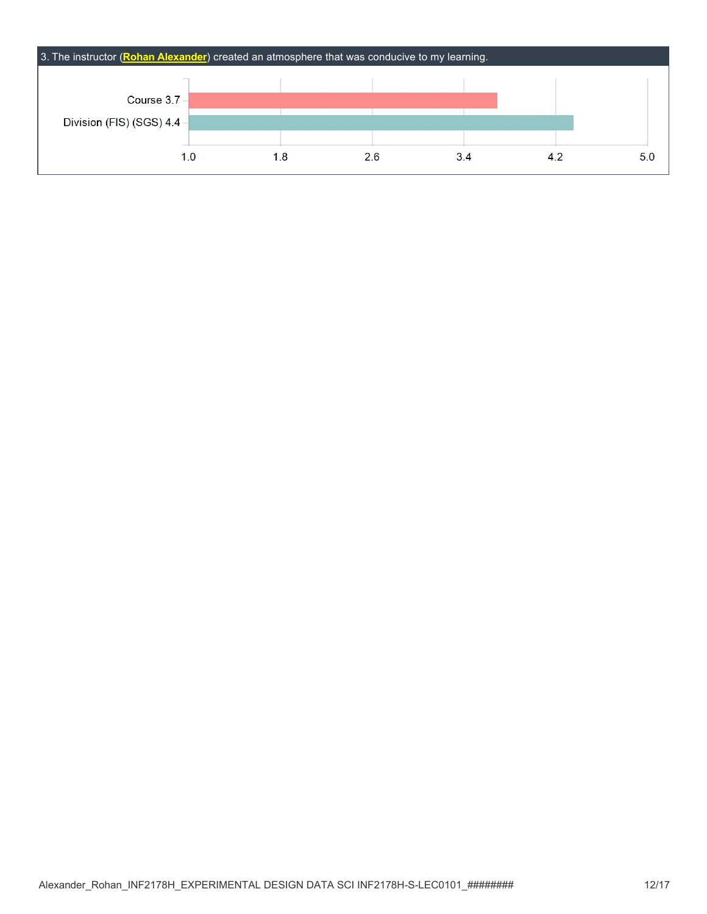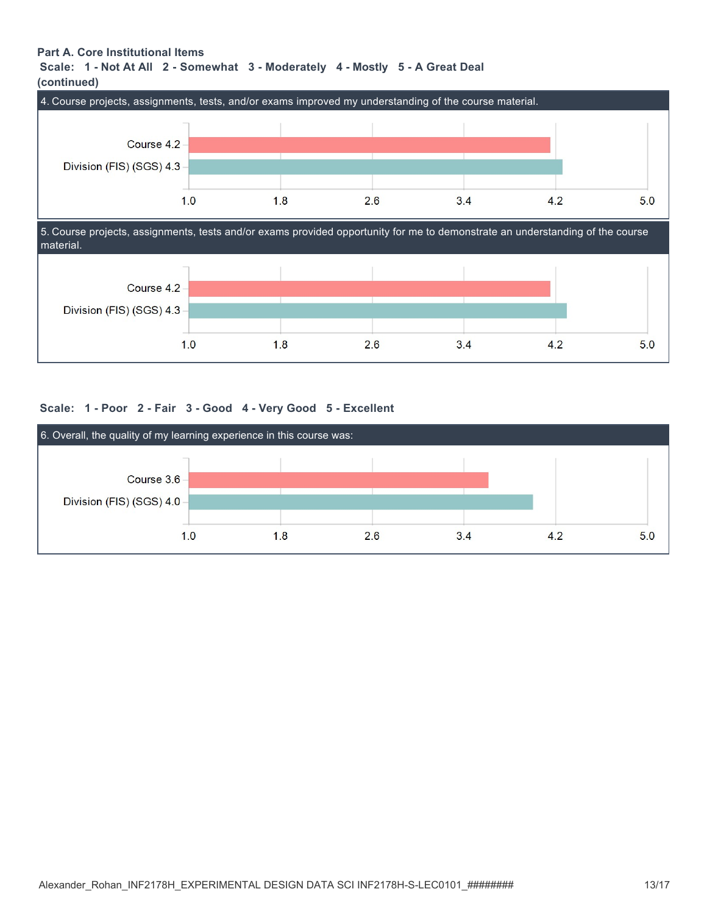# **Part A. Core Institutional Items**

## **Scale: 1 - Not At All 2 - Somewhat 3 - Moderately 4 - Mostly 5 - A Great Deal (continued)**





## **Scale: 1 - Poor 2 - Fair 3 - Good 4 - Very Good 5 - Excellent**

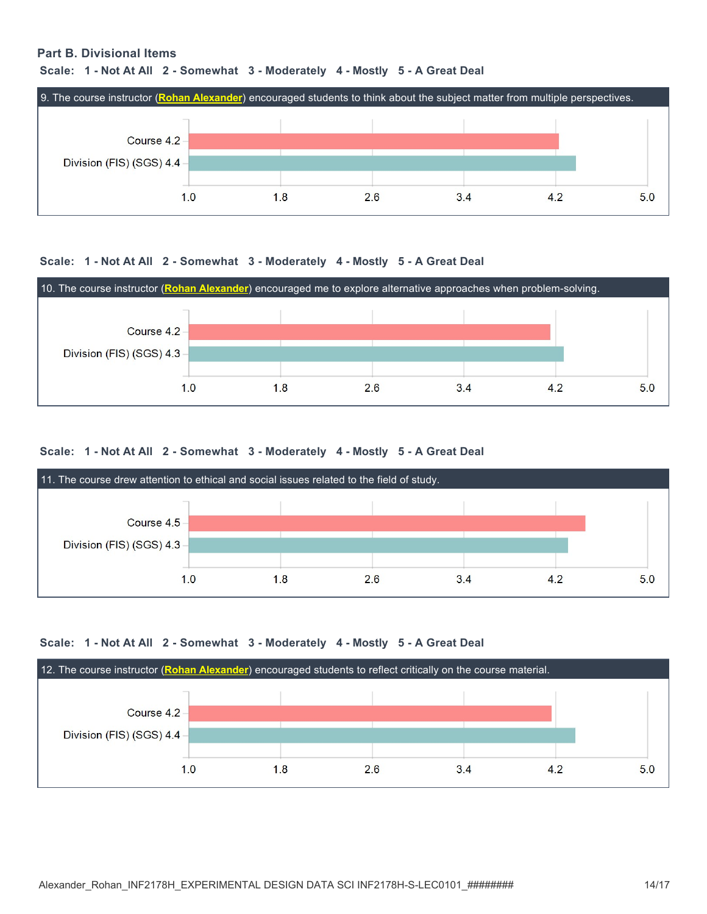### **Part B. Divisional Items**

#### **Scale: 1 - Not At All 2 - Somewhat 3 - Moderately 4 - Mostly 5 - A Great Deal**



#### **Scale: 1 - Not At All 2 - Somewhat 3 - Moderately 4 - Mostly 5 - A Great Deal**



#### **Scale: 1 - Not At All 2 - Somewhat 3 - Moderately 4 - Mostly 5 - A Great Deal**



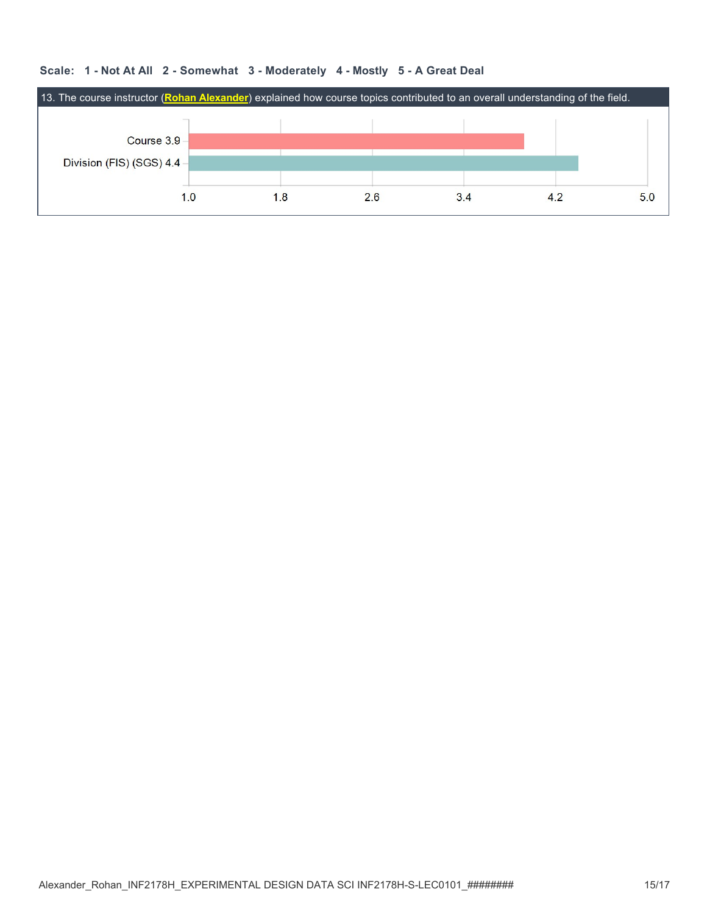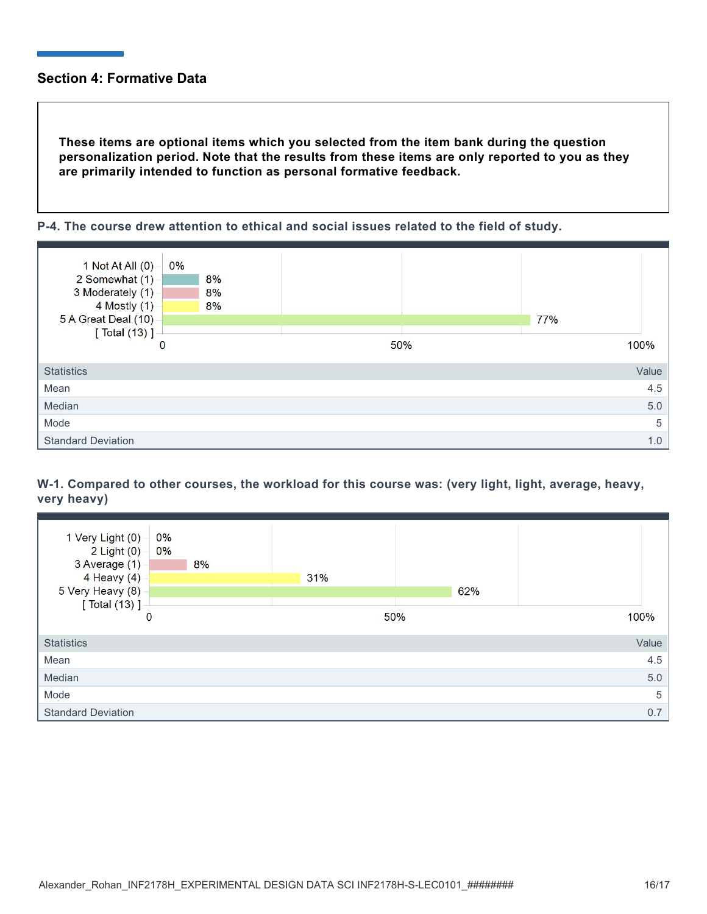# **Section 4: Formative Data**

**These items are optional items which you selected from the item bank during the question personalization period. Note that the results from these items are only reported to you as they are primarily intended to function as personal formative feedback.**





# **W-1. Compared to other courses, the workload for this course was: (very light, light, average, heavy, very heavy)**

| 1 Very Light (0) -<br>$2$ Light $(0)$ –<br>3 Average (1)<br>4 Heavy $(4)$<br>5 Very Heavy (8) | 0%<br>0%<br>8% | 31% | 62% |       |
|-----------------------------------------------------------------------------------------------|----------------|-----|-----|-------|
| [ Total (13) ] -<br>$\mathbf{0}$                                                              |                | 50% |     | 100%  |
| <b>Statistics</b>                                                                             |                |     |     | Value |
| Mean                                                                                          |                |     |     | 4.5   |
| Median                                                                                        |                |     |     | 5.0   |
| Mode                                                                                          |                |     |     | 5     |
| <b>Standard Deviation</b>                                                                     |                |     |     | 0.7   |